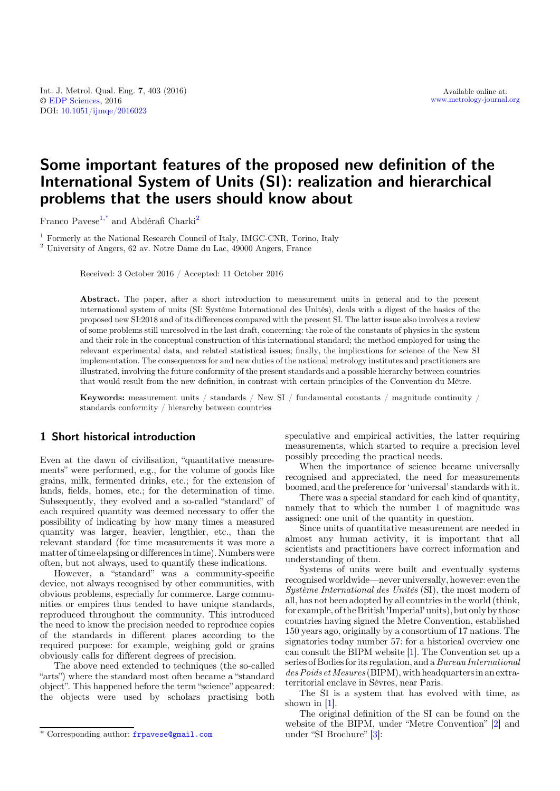# Some important features of the proposed new definition of the International System of Units (SI): realization and hierarchical problems that the users should know about

Franco Pavese<sup>1,\*</sup> and Abdérafi Charki<sup>2</sup>

 $^{\rm 1}$  Formerly at the National Research Council of Italy, IMGC-CNR, Torino, Italy $^{\rm 2}$ University of Angers, 62 av. Notre Dame du Lac, 49000 Angers, France

Received: 3 October 2016 / Accepted: 11 October 2016

Abstract. The paper, after a short introduction to measurement units in general and to the present international system of units (SI: Système International des Unités), deals with a digest of the basics of the proposed new SI:2018 and of its differences compared with the present SI. The latter issue also involves a review of some problems still unresolved in the last draft, concerning: the role of the constants of physics in the system and their role in the conceptual construction of this international standard; the method employed for using the relevant experimental data, and related statistical issues; finally, the implications for science of the New SI implementation. The consequences for and new duties of the national metrology institutes and practitioners are illustrated, involving the future conformity of the present standards and a possible hierarchy between countries that would result from the new definition, in contrast with certain principles of the Convention du Mètre.

Keywords: measurement units / standards / New SI / fundamental constants / magnitude continuity / standards conformity / hierarchy between countries

## 1 Short historical introduction

Even at the dawn of civilisation, "quantitative measurements" were performed, e.g., for the volume of goods like grains, milk, fermented drinks, etc.; for the extension of lands, fields, homes, etc.; for the determination of time. Subsequently, they evolved and a so-called "standard" of each required quantity was deemed necessary to offer the possibility of indicating by how many times a measured quantity was larger, heavier, lengthier, etc., than the relevant standard (for time measurements it was more a matter of time elapsing or differencesin time). Numbers were often, but not always, used to quantify these indications.

However, a "standard" was a community-specific device, not always recognised by other communities, with obvious problems, especially for commerce. Large communities or empires thus tended to have unique standards, reproduced throughout the community. This introduced the need to know the precision needed to reproduce copies of the standards in different places according to the required purpose: for example, weighing gold or grains obviously calls for different degrees of precision.

The above need extended to techniques (the so-called "arts") where the standard most often became a "standard object". This happened before the term "science" appeared: the objects were used by scholars practising both speculative and empirical activities, the latter requiring measurements, which started to require a precision level possibly preceding the practical needs.

When the importance of science became universally recognised and appreciated, the need for measurements boomed, and the preference for'universal'standards with it.

There was a special standard for each kind of quantity, namely that to which the number 1 of magnitude was assigned: one unit of the quantity in question.

Since units of quantitative measurement are needed in almost any human activity, it is important that all scientists and practitioners have correct information and understanding of them.

Systems of units were built and eventually systems recognised worldwide—never universally, however: even the Système International des Unités (SI), the most modern of all, has not been adopted by all countries in the world (think, for example, of the British'Imperial' units), but only by those countries having signed the Metre Convention, established 150 years ago, originally by a consortium of 17 nations. The signatories today number 57: for a historical overview one can consult the BIPM website [[1](#page-9-0)]. The Convention set up a series of Bodies for its regulation, and a Bureau International des Poids et Mesures (BIPM), with headquarters in an extraterritorial enclave in Sèvres, near Paris.

The SI is a system that has evolved with time, as shown in [\[1](#page-9-0)].

The original definition of the SI can be found on the website of the BIPM, under "Metre Convention" [[2\]](#page-9-0) and under "SI Brochure" [3]:

<sup>\*</sup> Corresponding author: [frpavese@gmail.com](mailto:frpavese@gmail.com)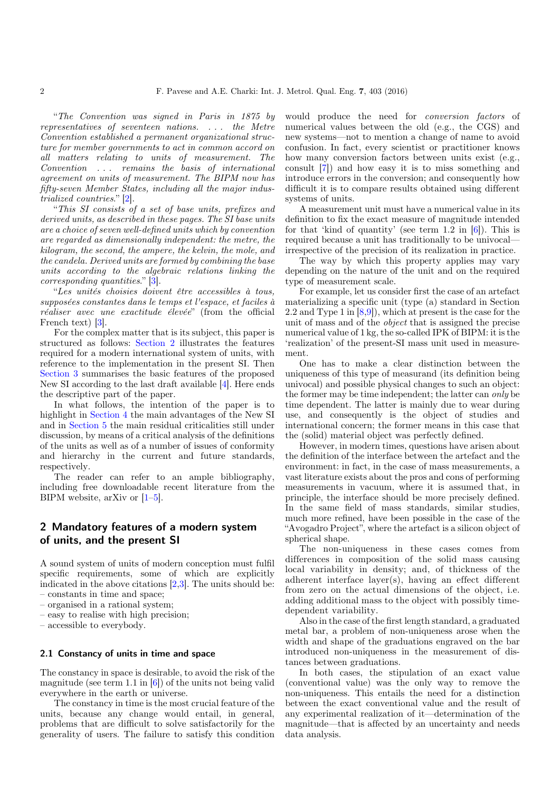<span id="page-1-0"></span>"The Convention was signed in Paris in 1875 by representatives of seventeen nations. . . . the Metre Convention established a permanent organizational structure for member governments to act in common accord on all matters relating to units of measurement. The Convention . . . remains the basis of international agreement on units of measurement. The BIPM now has fifty-seven Member States, including all the major industrialized countries." [[2\]](#page-9-0).

"This SI consists of a set of base units, prefixes and derived units, as described in these pages. The SI base units are a choice of seven well-defined units which by convention are regarded as dimensionally independent: the metre, the kilogram, the second, the ampere, the kelvin, the mole, and the candela. Derived units are formed by combining the base units according to the algebraic relations linking the corresponding quantities." [[3\]](#page-10-0).

"Les unités choisies doivent être accessibles à tous, supposées constantes dans le temps et l'espace, et faciles à réaliser avec une exactitude élevée" (from the official French text) [[3](#page-10-0)].

For the complex matter that is its subject, this paper is structured as follows: Section 2 illustrates the features required for a modern international system of units, with reference to the implementation in the present SI. Then [Section 3](#page-3-0) summarises the basic features of the proposed New SI according to the last draft available [\[4](#page-10-0)]. Here ends the descriptive part of the paper.

In what follows, the intention of the paper is to highlight in [Section 4](#page-5-0) the main advantages of the New SI and in [Section 5](#page-5-0) the main residual criticalities still under discussion, by means of a critical analysis of the definitions of the units as well as of a number of issues of conformity and hierarchy in the current and future standards, respectively.

The reader can refer to an ample bibliography, including free downloadable recent literature from the BIPM website, arXiv or [\[1](#page-9-0)–[5](#page-10-0)].

# 2 Mandatory features of a modern system of units, and the present SI

A sound system of units of modern conception must fulfil specific requirements, some of which are explicitly indicated in the above citations [\[2](#page-9-0),[3\]](#page-10-0). The units should be: – constants in time and space;

- organised in a rational system;
- easy to realise with high precision;
- accessible to everybody.

#### 2.1 Constancy of units in time and space

The constancy in space is desirable, to avoid the risk of the magnitude (see term 1.1 in  $[6]$  $[6]$ ) of the units not being valid everywhere in the earth or universe.

The constancy in time is the most crucial feature of the units, because any change would entail, in general, problems that are difficult to solve satisfactorily for the generality of users. The failure to satisfy this condition

would produce the need for conversion factors of numerical values between the old (e.g., the CGS) and new systems—not to mention a change of name to avoid confusion. In fact, every scientist or practitioner knows how many conversion factors between units exist (e.g., consult [\[7](#page-10-0)]) and how easy it is to miss something and introduce errors in the conversion; and consequently how difficult it is to compare results obtained using different systems of units.

A measurement unit must have a numerical value in its definition to fix the exact measure of magnitude intended for that 'kind of quantity' (see term  $1.2$  in  $[6]$  $[6]$ ). This is required because a unit has traditionally to be univocal irrespective of the precision of its realization in practice.

The way by which this property applies may vary depending on the nature of the unit and on the required type of measurement scale.

For example, let us consider first the case of an artefact materializing a specific unit (type (a) standard in Section 2.2 and Type 1 in  $[8,9]$  $[8,9]$  $[8,9]$ , which at present is the case for the unit of mass and of the object that is assigned the precise numerical value of 1 kg, the so-called IPK of BIPM: it is the 'realization' of the present-SI mass unit used in measurement.

One has to make a clear distinction between the uniqueness of this type of measurand (its definition being univocal) and possible physical changes to such an object: the former may be time independent; the latter can only be time dependent. The latter is mainly due to wear during use, and consequently is the object of studies and international concern; the former means in this case that the (solid) material object was perfectly defined.

However, in modern times, questions have arisen about the definition of the interface between the artefact and the environment: in fact, in the case of mass measurements, a vast literature exists about the pros and cons of performing measurements in vacuum, where it is assumed that, in principle, the interface should be more precisely defined. In the same field of mass standards, similar studies, much more refined, have been possible in the case of the "Avogadro Project", where the artefact is a silicon object of spherical shape.

The non-uniqueness in these cases comes from differences in composition of the solid mass causing local variability in density; and, of thickness of the adherent interface layer(s), having an effect different from zero on the actual dimensions of the object, i.e. adding additional mass to the object with possibly timedependent variability.

Also in the case of the first length standard, a graduated metal bar, a problem of non-uniqueness arose when the width and shape of the graduations engraved on the bar introduced non-uniqueness in the measurement of distances between graduations.

In both cases, the stipulation of an exact value (conventional value) was the only way to remove the non-uniqueness. This entails the need for a distinction between the exact conventional value and the result of any experimental realization of it—determination of the magnitude—that is affected by an uncertainty and needs data analysis.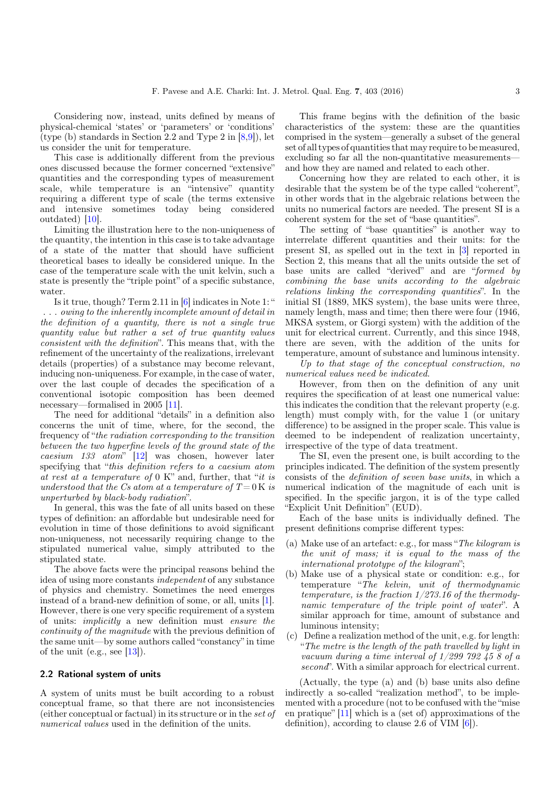<span id="page-2-0"></span>Considering now, instead, units defined by means of physical-chemical 'states' or 'parameters' or 'conditions' (type (b) standards in Section 2.2 and Type 2 in  $[8,9]$ ), let us consider the unit for temperature.

This case is additionally different from the previous ones discussed because the former concerned "extensive" quantities and the corresponding types of measurement scale, while temperature is an "intensive" quantity requiring a different type of scale (the terms extensive and intensive sometimes today being considered outdated) [[10\]](#page-10-0).

Limiting the illustration here to the non-uniqueness of the quantity, the intention in this case is to take advantage of a state of the matter that should have sufficient theoretical bases to ideally be considered unique. In the case of the temperature scale with the unit kelvin, such a state is presently the "triple point" of a specific substance, water.

Is it true, though? Term 2.11 in [\[6](#page-10-0)] indicates in Note 1: " ... owing to the inherently incomplete amount of detail in the definition of a quantity, there is not a single true quantity value but rather a set of true quantity values consistent with the definition". This means that, with the refinement of the uncertainty of the realizations, irrelevant details (properties) of a substance may become relevant, inducing non-uniqueness. For example, in the case of water, over the last couple of decades the specification of a conventional isotopic composition has been deemed necessary—formalised in 2005 [[11\]](#page-10-0).

The need for additional "details" in a definition also concerns the unit of time, where, for the second, the frequency of "the radiation corresponding to the transition between the two hyperfine levels of the ground state of the caesium 133 atom" [\[12](#page-10-0)] was chosen, however later specifying that "this definition refers to a caesium atom at rest at a temperature of 0 K" and, further, that "it is understood that the Cs atom at a temperature of  $T = 0$ K is unperturbed by black-body radiation".

In general, this was the fate of all units based on these types of definition: an affordable but undesirable need for evolution in time of those definitions to avoid significant non-uniqueness, not necessarily requiring change to the stipulated numerical value, simply attributed to the stipulated state.

The above facts were the principal reasons behind the idea of using more constants independent of any substance of physics and chemistry. Sometimes the need emerges instead of a brand-new definition of some, or all, units [\[1](#page-9-0)]. However, there is one very specific requirement of a system of units: implicitly a new definition must ensure the continuity of the magnitude with the previous definition of the same unit—by some authors called "constancy" in time of the unit (e.g., see  $[13]$  $[13]$ ).

## 2.2 Rational system of units

A system of units must be built according to a robust conceptual frame, so that there are not inconsistencies (either conceptual or factual) in its structure or in the set of numerical values used in the definition of the units.

This frame begins with the definition of the basic characteristics of the system: these are the quantities comprised in the system—generally a subset of the general set of all types of quantities that may require to be measured, excluding so far all the non-quantitative measurements and how they are named and related to each other.

Concerning how they are related to each other, it is desirable that the system be of the type called "coherent", in other words that in the algebraic relations between the units no numerical factors are needed. The present SI is a coherent system for the set of "base quantities".

The setting of "base quantities" is another way to interrelate different quantities and their units: for the present SI, as spelled out in the text in [\[3](#page-10-0)] reported in Section 2, this means that all the units outside the set of base units are called "derived" and are "formed by combining the base units according to the algebraic relations linking the corresponding quantities". In the initial SI (1889, MKS system), the base units were three, namely length, mass and time; then there were four (1946, MKSA system, or Giorgi system) with the addition of the unit for electrical current. Currently, and this since 1948, there are seven, with the addition of the units for temperature, amount of substance and luminous intensity.

Up to that stage of the conceptual construction, no numerical values need be indicated.

However, from then on the definition of any unit requires the specification of at least one numerical value: this indicates the condition that the relevant property (e.g. length) must comply with, for the value 1 (or unitary difference) to be assigned in the proper scale. This value is deemed to be independent of realization uncertainty, irrespective of the type of data treatment.

The SI, even the present one, is built according to the principles indicated. The definition of the system presently consists of the definition of seven base units, in which a numerical indication of the magnitude of each unit is specified. In the specific jargon, it is of the type called "Explicit Unit Definition" (EUD).

Each of the base units is individually defined. The present definitions comprise different types:

- (a) Make use of an artefact: e.g., for mass "The kilogram is the unit of mass; it is equal to the mass of the international prototype of the kilogram";
- (b) Make use of a physical state or condition: e.g., for temperature "The kelvin, unit of thermodynamic temperature, is the fraction 1/273.16 of the thermodynamic temperature of the triple point of water". A similar approach for time, amount of substance and luminous intensity;
- (c) Define a realization method of the unit, e.g. for length: "The metre is the length of the path travelled by light in vacuum during a time interval of 1/299 792 45 8 of a second". With a similar approach for electrical current.

(Actually, the type (a) and (b) base units also define indirectly a so-called "realization method", to be implemented with a procedure (not to be confused with the "mise en pratique" [[11\]](#page-10-0) which is a (set of) approximations of the definition), according to clause 2.6 of VIM  $|6|$ .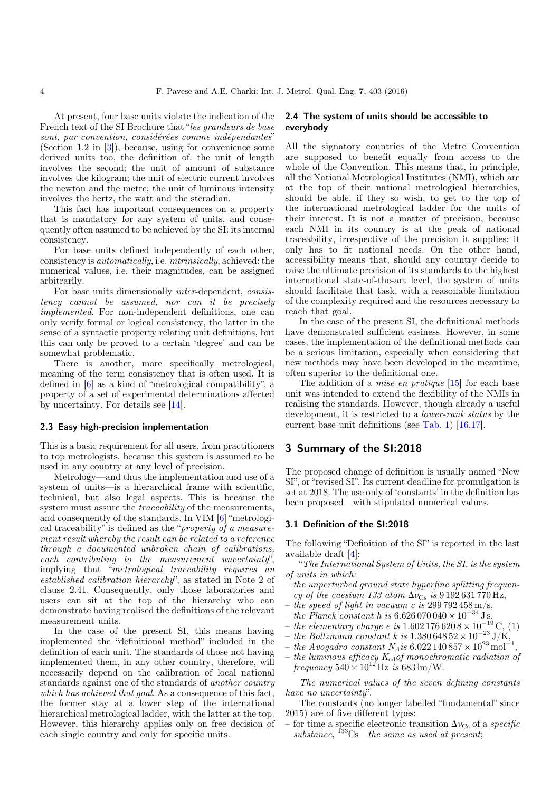<span id="page-3-0"></span>At present, four base units violate the indication of the French text of the SI Brochure that "les grandeurs de base sont, par convention, considérées comme indépendantes" (Section 1.2 in [[3\]](#page-10-0)), because, using for convenience some derived units too, the definition of: the unit of length involves the second; the unit of amount of substance involves the kilogram; the unit of electric current involves the newton and the metre; the unit of luminous intensity involves the hertz, the watt and the steradian.

This fact has important consequences on a property that is mandatory for any system of units, and consequently often assumed to be achieved by the SI: its internal consistency.

For base units defined independently of each other, consistency is automatically, i.e. intrinsically, achieved: the numerical values, i.e. their magnitudes, can be assigned arbitrarily.

For base units dimensionally inter-dependent, consistency cannot be assumed, nor can it be precisely implemented. For non-independent definitions, one can only verify formal or logical consistency, the latter in the sense of a syntactic property relating unit definitions, but this can only be proved to a certain 'degree' and can be somewhat problematic.

There is another, more specifically metrological, meaning of the term consistency that is often used. It is defined in [[6\]](#page-10-0) as a kind of "metrological compatibility", a property of a set of experimental determinations affected by uncertainty. For details see [[14\]](#page-10-0).

#### 2.3 Easy high-precision implementation

This is a basic requirement for all users, from practitioners to top metrologists, because this system is assumed to be used in any country at any level of precision.

Metrology—and thus the implementation and use of a system of units—is a hierarchical frame with scientific, technical, but also legal aspects. This is because the system must assure the *traceability* of the measurements, and consequently of the standards. In VIM [\[6](#page-10-0)] "metrological traceability" is defined as the "property of a measurement result whereby the result can be related to a reference through a documented unbroken chain of calibrations, each contributing to the measurement uncertainty", implying that "metrological traceability requires an established calibration hierarchy", as stated in Note 2 of clause 2.41. Consequently, only those laboratories and users can sit at the top of the hierarchy who can demonstrate having realised the definitions of the relevant measurement units.

In the case of the present SI, this means having implemented the "definitional method" included in the definition of each unit. The standards of those not having implemented them, in any other country, therefore, will necessarily depend on the calibration of local national standards against one of the standards of another country which has achieved that goal. As a consequence of this fact, the former stay at a lower step of the international hierarchical metrological ladder, with the latter at the top. However, this hierarchy applies only on free decision of each single country and only for specific units.

## 2.4 The system of units should be accessible to everybody

All the signatory countries of the Metre Convention are supposed to benefit equally from access to the whole of the Convention. This means that, in principle, all the National Metrological Institutes (NMI), which are at the top of their national metrological hierarchies, should be able, if they so wish, to get to the top of the international metrological ladder for the units of their interest. It is not a matter of precision, because each NMI in its country is at the peak of national traceability, irrespective of the precision it supplies: it only has to fit national needs. On the other hand, accessibility means that, should any country decide to raise the ultimate precision of its standards to the highest international state-of-the-art level, the system of units should facilitate that task, with a reasonable limitation of the complexity required and the resources necessary to reach that goal.

In the case of the present SI, the definitional methods have demonstrated sufficient easiness. However, in some cases, the implementation of the definitional methods can be a serious limitation, especially when considering that new methods may have been developed in the meantime, often superior to the definitional one.

The addition of a mise en pratique [[15\]](#page-10-0) for each base unit was intended to extend the flexibility of the NMIs in realising the standards. However, though already a useful development, it is restricted to a lower-rank status by the current base unit definitions (see [Tab. 1](#page-4-0)) [\[16](#page-10-0),[17\]](#page-10-0).

## 3 Summary of the SI:2018

The proposed change of definition is usually named "New SI", or "revised SI". Its current deadline for promulgation is set at 2018. The use only of 'constants' in the definition has been proposed—with stipulated numerical values.

## 3.1 Definition of the SI:2018

The following "Definition of the SI" is reported in the last available draft [\[4](#page-10-0)]:

"The International System of Units, the  $SI$ , is the system of units in which:

- the unperturbed ground state hyperfine splitting frequency of the caesium 133 atom  $\Delta v_{\rm Cs}$  is 9 192 631 770 Hz,
- the speed of light in vacuum c is  $299\,792\,458\,\mathrm{m/s}$ ,
- $-$  the Planck constant h is 6.626 070 040  $\times 10^{-34}$  J s,
- the elementary charge e is  $1.6021766208 \times 10^{-19}$  C, (1)
- the Boltzmann constant k is  $1.380\,648\,52 \times 10^{-23}\,\mathrm{J/K}$ ,
- $-$  the Avogadro constant  $N_A$  is  $6.022140857 \times 10^{23} \text{ mol}^{-1}$ ,
- the luminous efficacy  $K_{\rm cd}$ of monochromatic radiation of  $frequency~540 \times 10^{12} \mathrm{Hz}$  is 683 lm/W.

The numerical values of the seven defining constants have no uncertainty".

The constants (no longer labelled "fundamental" since 2015) are of five different types:

– for time a specific electronic transition  $\Delta v_{\text{Cs}}$  of a specific  $substance$ ,  $133Cs$ —the same as used at present;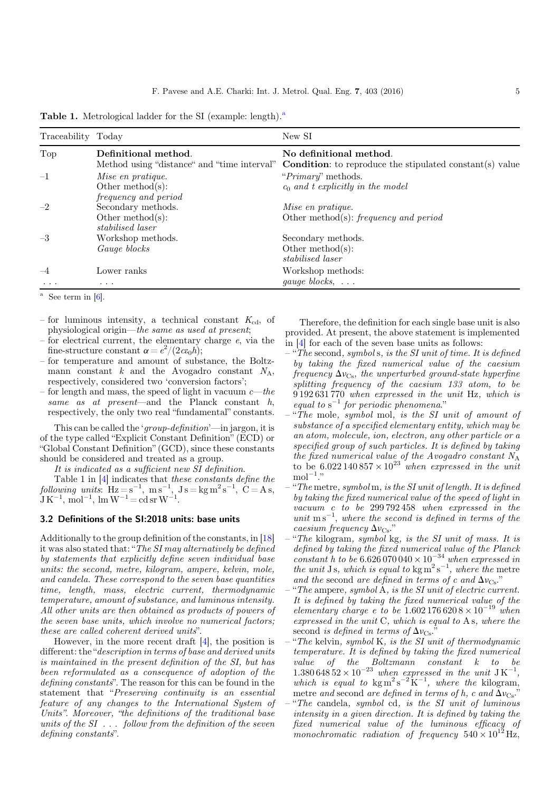<span id="page-4-0"></span>Table 1. Metrological ladder for the SI (example: length).<sup>a</sup>

| Traceability Today |                          | New SI                                                                                                       |
|--------------------|--------------------------|--------------------------------------------------------------------------------------------------------------|
| Top                | Definitional method.     | No definitional method.                                                                                      |
|                    |                          | Method using "distance" and "time interval" <b>Condition</b> : to reproduce the stipulated constant(s) value |
| $-1$               | <i>Mise</i> en pratique. | " <i>Primary</i> " methods.                                                                                  |
|                    | Other method(s):         | $c_0$ and t explicitly in the model                                                                          |
|                    | frequency and period     |                                                                                                              |
| $-2$               | Secondary methods.       | <i>Mise</i> en pratique.                                                                                     |
|                    | Other method(s):         | Other method(s): $frequency$ and period                                                                      |
|                    | stabilised laser         |                                                                                                              |
| $-3$               | Workshop methods.        | Secondary methods.                                                                                           |
|                    | Gauge blocks             | Other method(s):                                                                                             |
|                    |                          | stabilised laser                                                                                             |
| $-4$               | Lower ranks              | Workshop methods:                                                                                            |
| $\cdots$           | $\cdots$                 | gauge blocks, $\ldots$                                                                                       |

 $^{\rm a}$  See term in [\[6\]](#page-10-0).

- for luminous intensity, a technical constant  $K_{\text{cd}}$ , of physiological origin—the same as used at present;
- for electrical current, the elementary charge  $e$ , via the fine-structure constant  $\alpha = e^2/(2c \varepsilon_0 h);$
- for temperature and amount of substance, the Boltzmann constant k and the Avogadro constant  $N_A$ , respectively, considered two 'conversion factors';
- for length and mass, the speed of light in vacuum  $c$ —the same as at present—and the Planck constant  $h$ , respectively, the only two real "fundamental" constants.

This can be called the 'group-definition'—in jargon, it is of the type called "Explicit Constant Definition" (ECD) or "Global Constant Definition" (GCD), since these constants should be considered and treated as a group.

It is indicated as a sufficient new SI definition.

Table 1 in [[4\]](#page-10-0) indicates that these constants define the following units:  $\overline{H}z = s^{-1}$ ,  $ms^{-1}$ ,  $Js = kg m^2 s^{-1}$ ,  $C = As$ ,  $\mathrm{J}\,\mathrm{K}^{-1},\ \mathrm{mol}^{-1},\ \mathrm{lm}\,\mathrm{W}^{-1}\!=\mathrm{cd}\,\mathrm{sr}\,\mathrm{W}^{-1}.$ 

## 3.2 Definitions of the SI:2018 units: base units

Additionally to the group definition of the constants, in [\[18](#page-10-0)] it was also stated that: "The SI may alternatively be defined by statements that explicitly define seven individual base units: the second, metre, kilogram, ampere, kelvin, mole, and candela. These correspond to the seven base quantities time, length, mass, electric current, thermodynamic temperature, amount of substance, and luminous intensity. All other units are then obtained as products of powers of the seven base units, which involve no numerical factors; these are called coherent derived units".

However, in the more recent draft [\[4](#page-10-0)], the position is different: the "description in terms of base and derived units is maintained in the present definition of the SI, but has been reformulated as a consequence of adoption of the defining constants". The reason for this can be found in the statement that "Preserving continuity is an essential feature of any changes to the International System of Units". Moreover, "the definitions of the traditional base units of the  $SI \ldots$  follow from the definition of the seven defining constants".

Therefore, the definition for each single base unit is also provided. At present, the above statement is implemented in [[4\]](#page-10-0) for each of the seven base units as follows:

- $-$  "The second, symbols, is the SI unit of time. It is defined by taking the fixed numerical value of the caesium frequency  $\Delta v_{\text{Cs}}$ , the unperturbed ground-state hyperfine splitting frequency of the caesium 133 atom, to be 9 192 631 770 when expressed in the unit Hz, which is equal to  $s^{-1}$  for periodic phenomena."
- $-$  "The mole, symbol mol, is the SI unit of amount of substance of a specified elementary entity, which may be an atom, molecule, ion, electron, any other particle or a specified group of such particles. It is defined by taking the fixed numerical value of the Avogadro constant NA to be  $6.022140857 \times 10^{23}$  when expressed in the unit  $\mathrm{mol}^{-1}$ ."
- $"The metre, symbol m, is the SI unit of length. It is defined$ by taking the fixed numerical value of the speed of light in vacuum c to be 299 792 458 when expressed in the unit  $ms^{-1}$ , where the second is defined in terms of the caesium frequency  $\Delta v_{\text{Cs}}$ ."
- "The kilogram, symbol kg, is the SI unit of mass. It is defined by taking the fixed numerical value of the Planck constant h to be  $6.626070040 \times 10^{-34}$  when expressed in the unit J s, which is equal to  $\text{kg m}^2 \text{s}^{-1}$ , where the metre and the second are defined in terms of c and  $\Delta v_{\text{Cs}}$ ."
- "The ampere, symbol  $A$ , is the SI unit of electric current. It is defined by taking the fixed numerical value of the elementary charge e to be  $1.6021766208\times10^{-19}$  when expressed in the unit  $C$ , which is equal to A s, where the second is defined in terms of  $\Delta v_{\text{Cs}}$ .
- "The kelvin, symbol K, is the  $SI$  unit of thermodynamic temperature. It is defined by taking the fixed numerical value of the Boltzmann constant k to be  $1.380\,648\,52\times10^{-23}$  when expressed in the unit  $\rm J K^{-1}$ , which is equal to kg m<sup>2</sup>s<sup>-2</sup>K<sup>-1</sup>, where the kilogram, metre and second are defined in terms of h, c and  $\Delta v_{\text{Cs}}$ ." – "The candela, symbol cd, is the SI unit of luminous
- intensity in a given direction. It is defined by taking the fixed numerical value of the luminous efficacy of monochromatic radiation of frequency  $540 \times 10^{12}$  Hz,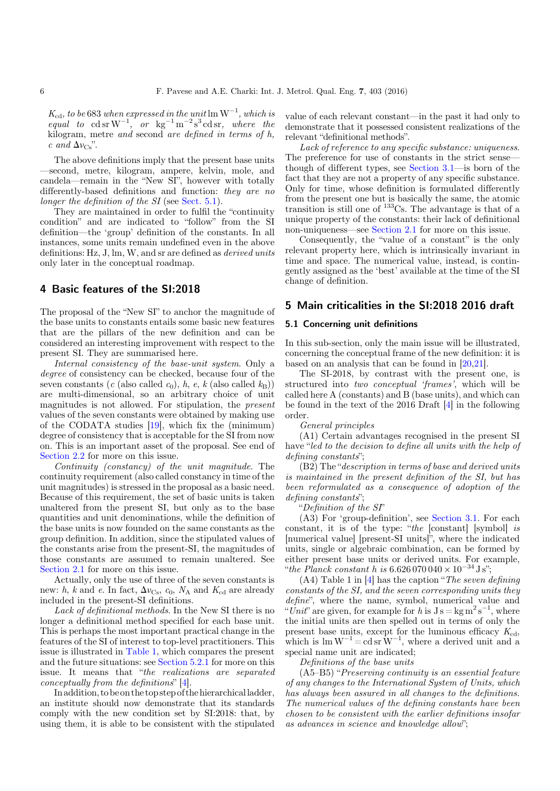<span id="page-5-0"></span> $K_{\mathrm{cd}},$  to be  $683$  when expressed in the unit  $\mathrm{lm} \, \mathrm{W}^{-1},$  which is equal to  $\text{cd} \text{sr} \text{W}^{-1}$ , or  $\text{kg}^{-1} \text{m}^{-2} \text{s}^3 \text{cd} \text{sr}$ , where the kilogram, metre and second are defined in terms of h, c and  $\Delta v_{\text{Cs}}$ ".

The above definitions imply that the present base units —second, metre, kilogram, ampere, kelvin, mole, and candela—remain in the "New SI", however with totally differently-based definitions and function: *they are no* longer the definition of the SI (see Sect. 5.1).

They are maintained in order to fulfil the "continuity condition" and are indicated to "follow" from the SI definition—the 'group' definition of the constants. In all instances, some units remain undefined even in the above definitions: Hz, J, lm, W, and sr are defined as derived units only later in the conceptual roadmap.

# 4 Basic features of the SI:2018

The proposal of the "New SI" to anchor the magnitude of the base units to constants entails some basic new features that are the pillars of the new definition and can be considered an interesting improvement with respect to the present SI. They are summarised here.

Internal consistency of the base-unit system. Only a degree of consistency can be checked, because four of the seven constants (c (also called  $c_0$ ), h, e, k (also called  $k_B$ )) are multi-dimensional, so an arbitrary choice of unit magnitudes is not allowed. For stipulation, the present values of the seven constants were obtained by making use of the CODATA studies [\[19](#page-10-0)], which fix the (minimum) degree of consistency that is acceptable for the SI from now on. This is an important asset of the proposal. See end of [Section 2.2](#page-2-0) for more on this issue.

Continuity (constancy) of the unit magnitude. The continuity requirement (also called constancy in time of the unit magnitudes) is stressed in the proposal as a basic need. Because of this requirement, the set of basic units is taken unaltered from the present SI, but only as to the base quantities and unit denominations, while the definition of the base units is now founded on the same constants as the group definition. In addition, since the stipulated values of the constants arise from the present-SI, the magnitudes of those constants are assumed to remain unaltered. See [Section 2.1](#page-1-0) for more on this issue.

Actually, only the use of three of the seven constants is new: h, k and e. In fact,  $\Delta v_{\text{Cs}}$ ,  $c_0$ ,  $N_A$  and  $K_{\text{cd}}$  are already included in the present-SI definitions.

Lack of definitional methods. In the New SI there is no longer a definitional method specified for each base unit. This is perhaps the most important practical change in the features of the SI of interest to top-level practitioners. This issue is illustrated in [Table 1,](#page-4-0) which compares the present and the future situations: see [Section 5.2.1](#page-7-0) for more on this issue. It means that "the realizations are separated conceptually from the definitions" [[4\]](#page-10-0).

In addition, to be on the top step of thehierarchicalladder, an institute should now demonstrate that its standards comply with the new condition set by SI:2018: that, by using them, it is able to be consistent with the stipulated

value of each relevant constant—in the past it had only to demonstrate that it possessed consistent realizations of the relevant "definitional methods".

Lack of reference to any specific substance: uniqueness. The preference for use of constants in the strict sense though of different types, see [Section 3.1](#page-3-0)—is born of the fact that they are not a property of any specific substance. Only for time, whose definition is formulated differently from the present one but is basically the same, the atomic transition is still one of 133Cs. The advantage is that of a unique property of the constants: their lack of definitional non-uniqueness—see [Section 2.1](#page-1-0) for more on this issue.

Consequently, the "value of a constant" is the only relevant property here, which is intrinsically invariant in time and space. The numerical value, instead, is contingently assigned as the 'best' available at the time of the SI change of definition.

## 5 Main criticalities in the SI:2018 2016 draft

#### 5.1 Concerning unit definitions

In this sub-section, only the main issue will be illustrated, concerning the conceptual frame of the new definition: it is based on an analysis that can be found in [[20,21](#page-10-0)].

The SI-2018, by contrast with the present one, is structured into two conceptual 'frames', which will be called here A (constants) and B (base units), and which can be found in the text of the 2016 Draft [\[4](#page-10-0)] in the following order.

General principles

(A1) Certain advantages recognised in the present SI have "led to the decision to define all units with the help of defining constants";

(B2) The "description in terms of base and derived units is maintained in the present definition of the SI, but has been reformulated as a consequence of adoption of the defining constants";

"Definition of the SI"

(A3) For 'group-definition', see [Section 3.1.](#page-3-0) For each constant, it is of the type: "the [constant] [symbol] is [numerical value] [present-SI units]", where the indicated units, single or algebraic combination, can be formed by either present base units or derived units. For example, "the Planck constant h is  $6.626070040 \times 10^{-34}$  J s";

(A4) Table 1 in [\[4](#page-10-0)] has the caption "The seven defining constants of the SI, and the seven corresponding units they define", where the name, symbol, numerical value and " $\ddot{Unit}$ " are given, for example for h is  $\text{Js} = \text{kg m}^2 \text{s}^{-1}$ , where the initial units are then spelled out in terms of only the present base units, except for the luminous efficacy  $K_{\mathrm{cd}},$ which is  $\text{Im } W^{-1} = \text{cd } \text{sr } W^{-1}$ , where a derived unit and a special name unit are indicated;

Definitions of the base units

(A5–B5) "Preserving continuity is an essential feature of any changes to the International System of Units, which has always been assured in all changes to the definitions. The numerical values of the defining constants have been chosen to be consistent with the earlier definitions insofar as advances in science and knowledge allow";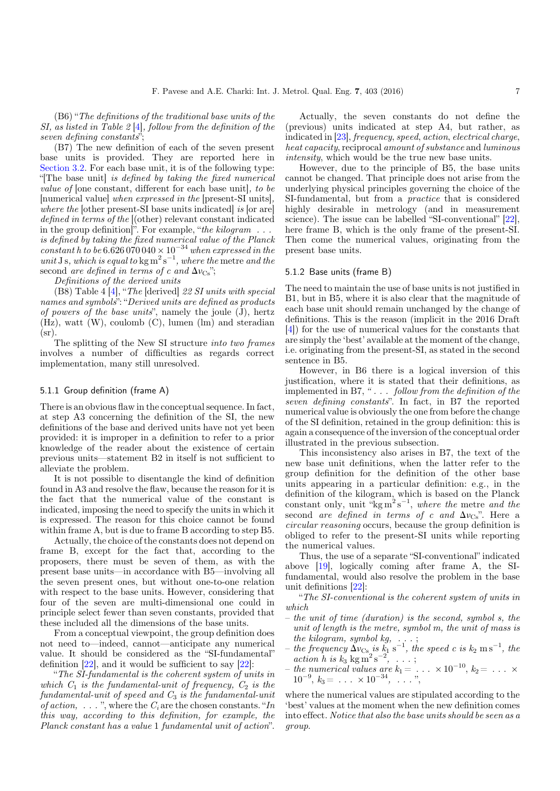(B6) "The definitions of the traditional base units of the SI, as listed in Table  $2 \vert 4 \vert$ , follow from the definition of the seven defining constants";

(B7) The new definition of each of the seven present base units is provided. They are reported here in [Section 3.2.](#page-4-0) For each base unit, it is of the following type: "[The base unit] is defined by taking the fixed numerical value of [one constant, different for each base unit], to be [numerical value] when expressed in the [present-SI units], where the [other present-SI base units indicated] is [or are] defined in terms of the [(other) relevant constant indicated in the group definition<sup>"</sup>. For example, "*the kilogram*  $\ldots$ is defined by taking the fixed numerical value of the Planck constant h to be  $6.626070040 \times 10^{-34}$  when expressed in the unit J s, which is equal to kg  $m^2 s^{-1}$ , where the metre and the second are defined in terms of c and  $\Delta v_{\text{Cs}}$ ";

Definitions of the derived units

(B8) Table 4 [[4\]](#page-10-0), "The [derived] 22 SI units with special names and symbols": "Derived units are defined as products of powers of the base units", namely the joule (J), hertz (Hz), watt (W), coulomb (C), lumen (lm) and steradian  $(sr)$ .

The splitting of the New SI structure into two frames involves a number of difficulties as regards correct implementation, many still unresolved.

#### 5.1.1 Group definition (frame A)

There is an obvious flaw in the conceptual sequence. In fact, at step A3 concerning the definition of the SI, the new definitions of the base and derived units have not yet been provided: it is improper in a definition to refer to a prior knowledge of the reader about the existence of certain previous units—statement B2 in itself is not sufficient to alleviate the problem.

It is not possible to disentangle the kind of definition found in A3 and resolve the flaw, because the reason for it is the fact that the numerical value of the constant is indicated, imposing the need to specify the units in which it is expressed. The reason for this choice cannot be found within frame A, but is due to frame B according to step B5.

Actually, the choice of the constants does not depend on frame B, except for the fact that, according to the proposers, there must be seven of them, as with the present base units—in accordance with B5—involving all the seven present ones, but without one-to-one relation with respect to the base units. However, considering that four of the seven are multi-dimensional one could in principle select fewer than seven constants, provided that these included all the dimensions of the base units.

From a conceptual viewpoint, the group definition does not need to—indeed, cannot—anticipate any numerical value. It should be considered as the "SI-fundamental" definition [[22](#page-10-0)], and it would be sufficient to say [[22\]](#page-10-0):

"The SI-fundamental is the coherent system of units in which  $C_1$  is the fundamental-unit of frequency,  $C_2$  is the fundamental-unit of speed and  $C_3$  is the fundamental-unit of action,  $\dots$ , where the  $C_i$  are the chosen constants. "In this way, according to this definition, for example, the Planck constant has a value 1 fundamental unit of action".

Actually, the seven constants do not define the (previous) units indicated at step A4, but rather, as indicated in [\[23\]](#page-10-0), frequency, speed, action, electrical charge, heat capacity, reciprocal amount of substance and luminous intensity, which would be the true new base units.

However, due to the principle of B5, the base units cannot be changed. That principle does not arise from the underlying physical principles governing the choice of the SI-fundamental, but from a practice that is considered highly desirable in metrology (and in measurement science). The issue can be labelled "SI-conventional" [\[22](#page-10-0)], here frame B, which is the only frame of the present-SI. Then come the numerical values, originating from the present base units.

## 5.1.2 Base units (frame B)

The need to maintain the use of base units is not justified in B1, but in B5, where it is also clear that the magnitude of each base unit should remain unchanged by the change of definitions. This is the reason (implicit in the 2016 Draft [\[4](#page-10-0)]) for the use of numerical values for the constants that are simply the 'best' available at the moment of the change, i.e. originating from the present-SI, as stated in the second sentence in B5.

However, in B6 there is a logical inversion of this justification, where it is stated that their definitions, as implemented in B7,  $\lq$ ... follow from the definition of the seven defining constants". In fact, in B7 the reported numerical value is obviously the one from before the change of the SI definition, retained in the group definition: this is again a consequence of the inversion of the conceptual order illustrated in the previous subsection.

This inconsistency also arises in B7, the text of the new base unit definitions, when the latter refer to the group definition for the definition of the other base units appearing in a particular definition: e.g., in the definition of the kilogram, which is based on the Planck constant only, unit " $kg m^2 s^{-1}$ , where the metre and the second *are defined in terms of c and*  $\Delta v_{\text{Cs}}$ ". Here a circular reasoning occurs, because the group definition is obliged to refer to the present-SI units while reporting the numerical values.

Thus, the use of a separate "SI-conventional" indicated above [[19](#page-10-0)], logically coming after frame A, the SIfundamental, would also resolve the problem in the base unit definitions [\[22](#page-10-0)]:

"The SI-conventional is the coherent system of units in which

- the unit of time (duration) is the second, symbol s, the unit of length is the metre, symbol m, the unit of mass is the kilogram, symbol  $kg, \ldots;$
- the frequency  $\Delta v_{\text{Cs}}$  is  $k_1$  s<sup>-1</sup>, the speed c is  $k_2$  ms<sup>-1</sup>, the  $action h is k_3 \text{ kg m}^2 \text{s}^{-2}, \ldots;$
- the numerical values are  $k_1 = \ldots \times 10^{-10}$ ,  $k_2 = \ldots \times 10^{-9}$ ,  $k_3 = \ldots \times 10^{-34}$ ,  $\ldots$ ,

where the numerical values are stipulated according to the 'best' values at the moment when the new definition comes into effect. Notice that also the base units should be seen as a group.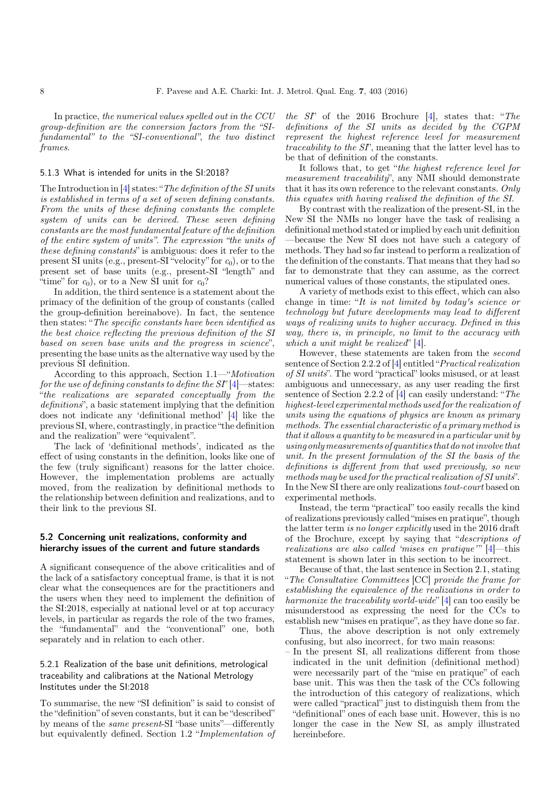<span id="page-7-0"></span>In practice, the numerical values spelled out in the CCU group-definition are the conversion factors from the "SIfundamental" to the "SI-conventional", the two distinct frames.

#### 5.1.3 What is intended for units in the SI:2018?

The Introduction in [[4\]](#page-10-0) states: "The definition of the SI units is established in terms of a set of seven defining constants. From the units of these defining constants the complete system of units can be derived. These seven defining constants are the most fundamental feature of the definition of the entire system of units". The expression "the units of these defining constants" is ambiguous: does it refer to the present SI units (e.g., present-SI "velocity" for  $c_0$ ), or to the present set of base units (e.g., present-SI "length" and "time" for  $c_0$ ), or to a New SI unit for  $c_0$ ?

In addition, the third sentence is a statement about the primacy of the definition of the group of constants (called the group-definition hereinabove). In fact, the sentence then states: "The specific constants have been identified as the best choice reflecting the previous definition of the SI based on seven base units and the progress in science", presenting the base units as the alternative way used by the previous SI definition.

According to this approach, Section 1.1—"Motivation for the use of defining constants to define the  $SI'$  [[4](#page-10-0)]—states: "the realizations are separated conceptually from the definitions", a basic statement implying that the definition does not indicate any 'definitional method' [\[4](#page-10-0)] like the previous SI, where, contrastingly, in practice "the definition and the realization" were "equivalent".

The lack of 'definitional methods', indicated as the effect of using constants in the definition, looks like one of the few (truly significant) reasons for the latter choice. However, the implementation problems are actually moved, from the realization by definitional methods to the relationship between definition and realizations, and to their link to the previous SI.

## 5.2 Concerning unit realizations, conformity and hierarchy issues of the current and future standards

A significant consequence of the above criticalities and of the lack of a satisfactory conceptual frame, is that it is not clear what the consequences are for the practitioners and the users when they need to implement the definition of the SI:2018, especially at national level or at top accuracy levels, in particular as regards the role of the two frames, the "fundamental" and the "conventional" one, both separately and in relation to each other.

## 5.2.1 Realization of the base unit definitions, metrological traceability and calibrations at the National Metrology Institutes under the SI:2018

To summarise, the new "SI definition" is said to consist of the "definition" of seven constants, but it can be "described" by means of the same present-SI "base units"—differently but equivalently defined. Section 1.2 "Implementation of

the  $SI'$  of the 2016 Brochure [\[4](#page-10-0)], states that: "The definitions of the SI units as decided by the CGPM represent the highest reference level for measurement traceability to the SI", meaning that the latter level has to be that of definition of the constants.

It follows that, to get "the highest reference level for measurement traceability", any NMI should demonstrate that it has its own reference to the relevant constants. Only this equates with having realised the definition of the SI.

By contrast with the realization of the present-SI, in the New SI the NMIs no longer have the task of realising a definitional method stated or implied by each unit definition —because the New SI does not have such a category of methods. They had so far instead to perform a realization of the definition of the constants. That means that they had so far to demonstrate that they can assume, as the correct numerical values of those constants, the stipulated ones.

A variety of methods exist to this effect, which can also change in time: "It is not limited by today's science or technology but future developments may lead to different ways of realizing units to higher accuracy. Defined in this way, there is, in principle, no limit to the accuracy with which a unit might be realized" [[4\]](#page-10-0).

However, these statements are taken from the second sentence of Section 2.2.2 of [\[4](#page-10-0)] entitled "Practical realization of SI units". The word "practical" looks misused, or at least ambiguous and unnecessary, as any user reading the first sentence of Section 2.2.2 of [\[4\]](#page-10-0) can easily understand: "The highest-level experimental methods used for the realization of units using the equations of physics are known as primary methods. The essential characteristic of a primary method is that it allows a quantity to be measured in a particular unit by using onlymeasurements of quantities that do not involve that unit. In the present formulation of the SI the basis of the definitions is different from that used previously, so new methods may be used for the practical realization of SI units". In the New SI there are only realizations *tout-court* based on experimental methods.

Instead, the term "practical" too easily recalls the kind of realizations previously called "mises en pratique", though the latter term is no longer explicitly used in the 2016 draft of the Brochure, except by saying that "descriptions of realizations are also called 'mises en pratique'" [[4\]](#page-10-0)—this statement is shown later in this section to be incorrect.

Because of that, the last sentence in Section 2.1, stating "The Consultative Committees [CC] provide the frame for establishing the equivalence of the realizations in order to harmonize the traceability world-wide" [\[4](#page-10-0)] can too easily be misunderstood as expressing the need for the CCs to establish new "mises en pratique", as they have done so far.

Thus, the above description is not only extremely confusing, but also incorrect, for two main reasons:

– In the present SI, all realizations different from those indicated in the unit definition (definitional method) were necessarily part of the "mise en pratique" of each base unit. This was then the task of the CCs following the introduction of this category of realizations, which were called "practical" just to distinguish them from the "definitional" ones of each base unit. However, this is no longer the case in the New SI, as amply illustrated hereinbefore.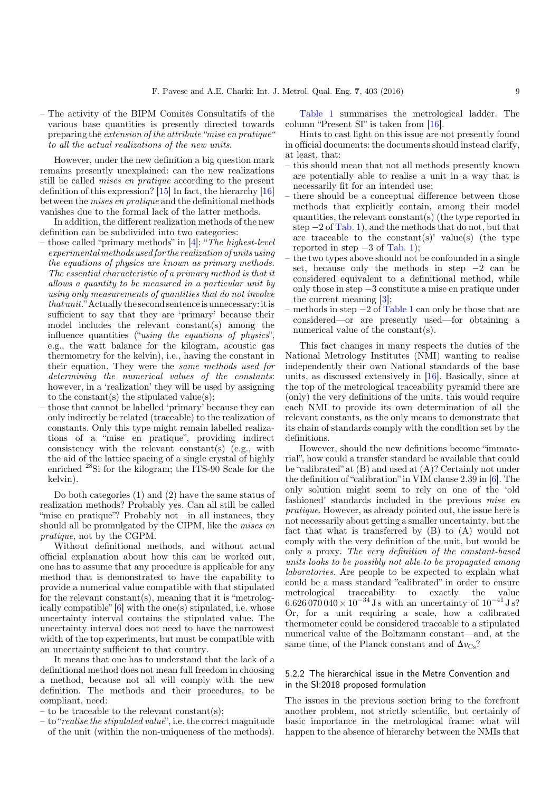– The activity of the BIPM Comités Consultatifs of the various base quantities is presently directed towards preparing the extension of the attribute "mise en pratique" to all the actual realizations of the new units.

However, under the new definition a big question mark remains presently unexplained: can the new realizations still be called mises en pratique according to the present definition of this expression? [\[15](#page-10-0)] In fact, the hierarchy [\[16](#page-10-0)] between the mises en pratique and the definitional methods vanishes due to the formal lack of the latter methods.

In addition, the different realization methods of the new definition can be subdivided into two categories:

- those called "primary methods" in [\[4](#page-10-0)]: "The highest-level experimental methods used for the realization of units using the equations of physics are known as primary methods. The essential characteristic of a primary method is that it allows a quantity to be measured in a particular unit by using only measurements of quantities that do not involve that  $unit$ ." Actually the second sentence is unnecessary: it is sufficient to say that they are 'primary' because their model includes the relevant constant(s) among the influence quantities ("using the equations of physics", e.g., the watt balance for the kilogram, acoustic gas thermometry for the kelvin), i.e., having the constant in their equation. They were the same methods used for determining the numerical values of the constants: however, in a 'realization' they will be used by assigning to the constant(s) the stipulated value(s);
- those that cannot be labelled 'primary' because they can only indirectly be related (traceable) to the realization of constants. Only this type might remain labelled realizations of a "mise en pratique", providing indirect consistency with the relevant constant(s) (e.g., with the aid of the lattice spacing of a single crystal of highly enriched 28Si for the kilogram; the ITS-90 Scale for the kelvin).

Do both categories (1) and (2) have the same status of realization methods? Probably yes. Can all still be called "mise en pratique"? Probably not—in all instances, they should all be promulgated by the CIPM, like the mises en pratique, not by the CGPM.

Without definitional methods, and without actual official explanation about how this can be worked out, one has to assume that any procedure is applicable for any method that is demonstrated to have the capability to provide a numerical value compatible with that stipulated for the relevant constant $(s)$ , meaning that it is "metrologically compatible" [\[6](#page-10-0)] with the one(s) stipulated, i.e. whose uncertainty interval contains the stipulated value. The uncertainty interval does not need to have the narrowest width of the top experiments, but must be compatible with an uncertainty sufficient to that country.

It means that one has to understand that the lack of a definitional method does not mean full freedom in choosing a method, because not all will comply with the new definition. The methods and their procedures, to be compliant, need:

– to be traceable to the relevant constant(s);

– to "realise the stipulated value", i.e. the correct magnitude of the unit (within the non-uniqueness of the methods).

[Table 1](#page-4-0) summarises the metrological ladder. The column "Present SI" is taken from [\[16](#page-10-0)].

Hints to cast light on this issue are not presently found in official documents: the documents should instead clarify, at least, that:

- this should mean that not all methods presently known are potentially able to realise a unit in a way that is necessarily fit for an intended use;
- there should be a conceptual difference between those methods that explicitly contain, among their model quantities, the relevant constant(s) (the type reported in step  $-2$  of [Tab. 1\)](#page-4-0), and the methods that do not, but that are traceable to the constant(s)' value(s) (the type reported in step  $-3$  of [Tab. 1](#page-4-0));
- the two types above should not be confounded in a single set, because only the methods in step  $-2$  can be considered equivalent to a definitional method, while only those in step  $-3$  constitute a mise en pratique under the current meaning [\[3](#page-10-0)];
- methods in step  $-2$  of [Table 1](#page-4-0) can only be those that are considered—or are presently used—for obtaining a numerical value of the constant(s).

This fact changes in many respects the duties of the National Metrology Institutes (NMI) wanting to realise independently their own National standards of the base units, as discussed extensively in [\[16](#page-10-0)]. Basically, since at the top of the metrological traceability pyramid there are (only) the very definitions of the units, this would require each NMI to provide its own determination of all the relevant constants, as the only means to demonstrate that its chain of standards comply with the condition set by the definitions.

However, should the new definitions become "immaterial", how could a transfer standard be available that could be "calibrated" at (B) and used at (A)? Certainly not under the definition of "calibration" in VIM clause 2.39 in [[6\]](#page-10-0). The only solution might seem to rely on one of the 'old fashioned' standards included in the previous mise en pratique. However, as already pointed out, the issue here is not necessarily about getting a smaller uncertainty, but the fact that what is transferred by (B) to (A) would not comply with the very definition of the unit, but would be only a proxy. The very definition of the constant-based units looks to be possibly not able to be propagated among laboratories. Are people to be expected to explain what could be a mass standard "calibrated" in order to ensure metrological traceability to exactly the value  $6.626070040 \times 10^{-34}$  J s with an uncertainty of  $10^{-41}$  J s? Or, for a unit requiring a scale, how a calibrated thermometer could be considered traceable to a stipulated numerical value of the Boltzmann constant—and, at the same time, of the Planck constant and of  $\Delta v_{\text{Cs}}$ ?

## 5.2.2 The hierarchical issue in the Metre Convention and in the SI:2018 proposed formulation

The issues in the previous section bring to the forefront another problem, not strictly scientific, but certainly of basic importance in the metrological frame: what will happen to the absence of hierarchy between the NMIs that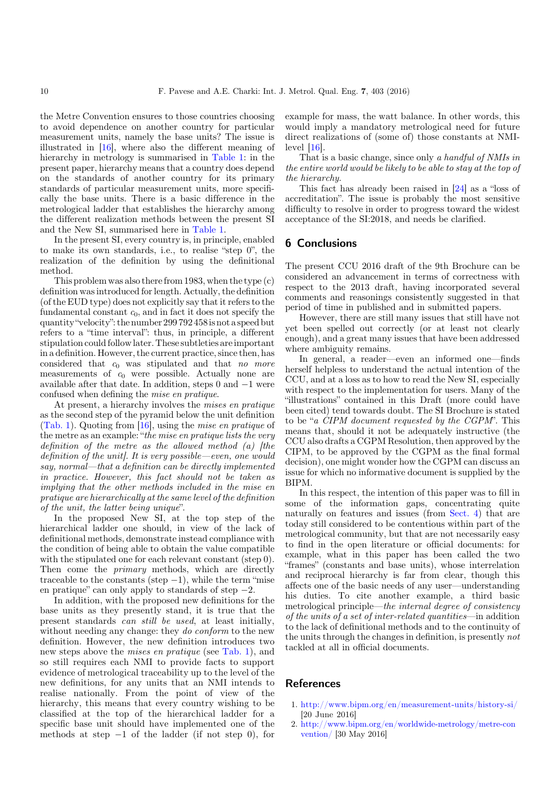<span id="page-9-0"></span>the Metre Convention ensures to those countries choosing to avoid dependence on another country for particular measurement units, namely the base units? The issue is illustrated in [\[16](#page-10-0)], where also the different meaning of hierarchy in metrology is summarised in [Table 1](#page-4-0): in the present paper, hierarchy means that a country does depend on the standards of another country for its primary standards of particular measurement units, more specifically the base units. There is a basic difference in the metrological ladder that establishes the hierarchy among the different realization methods between the present SI and the New SI, summarised here in [Table 1.](#page-4-0)

In the present SI, every country is, in principle, enabled to make its own standards, i.e., to realise "step 0", the realization of the definition by using the definitional method.

This problem was also there from 1983, when the type (c) definition was introduced for length. Actually, the definition (of the EUD type) does not explicitly say that it refers to the fundamental constant  $c_0$ , and in fact it does not specify the quantity "velocity": the number 299 792 458is not a speed but refers to a "time interval": thus, in principle, a different stipulation could follow later. These subtleties are important in a definition. However, the current practice, since then, has considered that  $c_0$  was stipulated and that no more measurements of  $c_0$  were possible. Actually none are available after that date. In addition, steps  $0$  and  $-1$  were confused when defining the mise en pratique.

At present, a hierarchy involves the mises en pratique as the second step of the pyramid below the unit definition [\(Tab. 1\)](#page-4-0). Quoting from [[16\]](#page-10-0), using the mise en pratique of the metre as an example: "the mise en pratique lists the very definition of the metre as the allowed method  $(a)$  [the definition of the unit]. It is very possible—even, one would say, normal—that a definition can be directly implemented in practice. However, this fact should not be taken as implying that the other methods included in the mise en pratique are hierarchically at the same level of the definition of the unit, the latter being unique".

In the proposed New SI, at the top step of the hierarchical ladder one should, in view of the lack of definitional methods, demonstrate instead compliance with the condition of being able to obtain the value compatible with the stipulated one for each relevant constant (step 0). Then come the *primary* methods, which are directly traceable to the constants (step  $-1$ ), while the term "mise en pratique" can only apply to standards of step  $-2$ .

In addition, with the proposed new definitions for the base units as they presently stand, it is true that the present standards can still be used, at least initially, without needing any change: they do conform to the new definition. However, the new definition introduces two new steps above the mises en pratique (see [Tab. 1\)](#page-4-0), and so still requires each NMI to provide facts to support evidence of metrological traceability up to the level of the new definitions, for any units that an NMI intends to realise nationally. From the point of view of the hierarchy, this means that every country wishing to be classified at the top of the hierarchical ladder for a specific base unit should have implemented one of the methods at step  $-1$  of the ladder (if not step 0), for

example for mass, the watt balance. In other words, this would imply a mandatory metrological need for future direct realizations of (some of) those constants at NMIlevel [\[16](#page-10-0)].

That is a basic change, since only a handful of NMIs in the entire world would be likely to be able to stay at the top of the hierarchy.

This fact has already been raised in [[24\]](#page-10-0) as a "loss of accreditation". The issue is probably the most sensitive difficulty to resolve in order to progress toward the widest acceptance of the SI:2018, and needs be clarified.

## 6 Conclusions

The present CCU 2016 draft of the 9th Brochure can be considered an advancement in terms of correctness with respect to the 2013 draft, having incorporated several comments and reasonings consistently suggested in that period of time in published and in submitted papers.

However, there are still many issues that still have not yet been spelled out correctly (or at least not clearly enough), and a great many issues that have been addressed where ambiguity remains.

In general, a reader—even an informed one—finds herself helpless to understand the actual intention of the CCU, and at a loss as to how to read the New SI, especially with respect to the implementation for users. Many of the "illustrations" contained in this Draft (more could have been cited) tend towards doubt. The SI Brochure is stated to be "a CIPM document requested by the CGPM". This means that, should it not be adequately instructive (the CCU also drafts a CGPM Resolution, then approved by the CIPM, to be approved by the CGPM as the final formal decision), one might wonder how the CGPM can discuss an issue for which no informative document is supplied by the BIPM.

In this respect, the intention of this paper was to fill in some of the information gaps, concentrating quite naturally on features and issues (from [Sect. 4\)](#page-5-0) that are today still considered to be contentious within part of the metrological community, but that are not necessarily easy to find in the open literature or official documents: for example, what in this paper has been called the two "frames" (constants and base units), whose interrelation and reciprocal hierarchy is far from clear, though this affects one of the basic needs of any user—understanding his duties. To cite another example, a third basic metrological principle—the internal degree of consistency of the units of a set of inter-related quantities—in addition to the lack of definitional methods and to the continuity of the units through the changes in definition, is presently not tackled at all in official documents.

# References

- 1. <http://www.bipm.org/en/measurement-units/history-si/> [20 June 2016]
- 2. [http://www.bipm.org/en/worldwide-metrology/metre-con](http://www.bipm.org/en/worldwide-metrology/metre-convention/) [vention/](http://www.bipm.org/en/worldwide-metrology/metre-convention/) [30 May 2016]